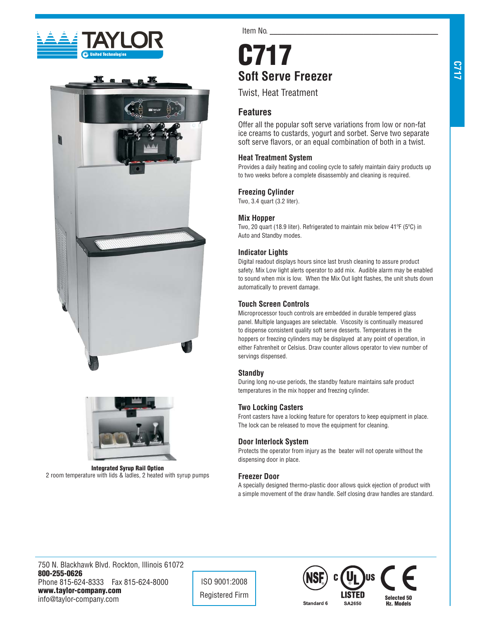





**Integrated Syrup Rail Option**  2 room temperature with lids & ladles, 2 heated with syrup pumps

Item No.

# **C717 Soft Serve Freezer**

Twist, Heat Treatment

# **Features**

Offer all the popular soft serve variations from low or non-fat ice creams to custards, yogurt and sorbet. Serve two separate soft serve flavors, or an equal combination of both in a twist.

## **Heat Treatment System**

Provides a daily heating and cooling cycle to safely maintain dairy products up to two weeks before a complete disassembly and cleaning is required.

## **Freezing Cylinder**

Two, 3.4 quart (3.2 liter).

#### **Mix Hopper**

Two, 20 quart (18.9 liter). Refrigerated to maintain mix below 41ºF (5ºC) in Auto and Standby modes.

## **Indicator Lights**

Digital readout displays hours since last brush cleaning to assure product safety. Mix Low light alerts operator to add mix. Audible alarm may be enabled to sound when mix is low. When the Mix Out light flashes, the unit shuts down automatically to prevent damage.

## **Touch Screen Controls**

Microprocessor touch controls are embedded in durable tempered glass panel. Multiple languages are selectable. Viscosity is continually measured to dispense consistent quality soft serve desserts. Temperatures in the hoppers or freezing cylinders may be displayed at any point of operation, in either Fahrenheit or Celsius. Draw counter allows operator to view number of servings dispensed.

#### **Standby**

During long no-use periods, the standby feature maintains safe product temperatures in the mix hopper and freezing cylinder.

## **Two Locking Casters**

Front casters have a locking feature for operators to keep equipment in place. The lock can be released to move the equipment for cleaning.

## **Door Interlock System**

Protects the operator from injury as the beater will not operate without the dispensing door in place.

#### **Freezer Door**

A specially designed thermo-plastic door allows quick ejection of product with a simple movement of the draw handle. Self closing draw handles are standard.

750 N. Blackhawk Blvd. Rockton, Illinois 61072 **800-255-0626** Phone 815-624-8333 Fax 815-624-8000 **www.taylor-company.com** info@taylor-company.com

ISO 9001:2008